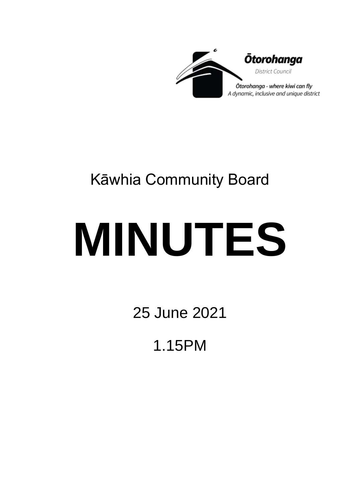

# Kāwhia Community Board

# **MINUTES**

25 June 2021

1.15PM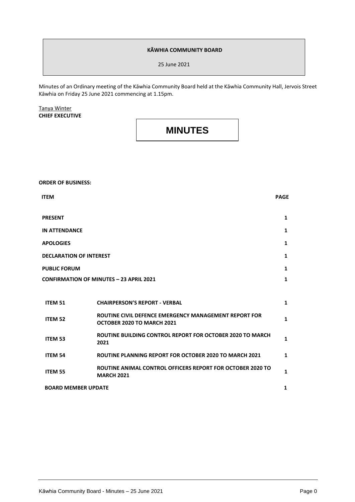#### **KĀWHIA COMMUNITY BOARD**

25 June 2021

Minutes of an Ordinary meeting of the Kāwhia Community Board held at the Kāwhia Community Hall, Jervois Street Kāwhia on Friday 25 June 2021 commencing at 1.15pm.

#### Tanya Winter **CHIEF EXECUTIVE**

### **MINUTES**

## **ORDER OF BUSINESS: ITEM PAGE PRESENT 1 IN ATTENDANCE 1 APOLOGIES 1 DECLARATION OF INTEREST 1 PUBLIC FORUM CONFIRMATION OF MINUTES – 23 APRIL 2021 1 1 ITEM 51 CHAIRPERSON'S REPORT - VERBAL 1 ITEM <sup>52</sup> ROUTINE CIVIL DEFENCE EMERGENCY MANAGEMENT REPORT FOR OCTOBER 2020 TO MARCH 2021 1 ITEM 53 ROUTINE BUILDING CONTROL REPORT FOR OCTOBER 2020 TO MARCH <sup>2021</sup> <sup>1</sup> ITEM 54 ROUTINE PLANNING REPORT FOR OCTOBER 2020 TO MARCH 2021 1 ITEM 55 ROUTINE ANIMAL CONTROL OFFICERS REPORT FOR OCTOBER 2020 TO MARCH 2021 <sup>1</sup> BOARD MEMBER UPDATE** 1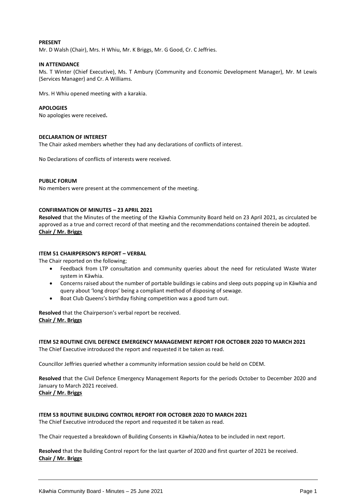#### **PRESENT**

Mr. D Walsh (Chair), Mrs. H Whiu, Mr. K Briggs, Mr. G Good, Cr. C Jeffries.

#### **IN ATTENDANCE**

Ms. T Winter (Chief Executive), Ms. T Ambury (Community and Economic Development Manager), Mr. M Lewis (Services Manager) and Cr. A Williams.

Mrs. H Whiu opened meeting with a karakia.

#### **APOLOGIES**

No apologies were received**.**

#### **DECLARATION OF INTEREST**

The Chair asked members whether they had any declarations of conflicts of interest.

No Declarations of conflicts of interests were received.

#### **PUBLIC FORUM**

No members were present at the commencement of the meeting.

#### **CONFIRMATION OF MINUTES – 23 APRIL 2021**

**Resolved** that the Minutes of the meeting of the Kāwhia Community Board held on 23 April 2021, as circulated be approved as a true and correct record of that meeting and the recommendations contained therein be adopted. **Chair / Mr. Briggs**

#### **ITEM 51 CHAIRPERSON'S REPORT – VERBAL**

The Chair reported on the following;

- Feedback from LTP consultation and community queries about the need for reticulated Waste Water system in Kāwhia.
- Concerns raised about the number of portable buildings ie cabins and sleep outs popping up in Kāwhia and query about 'long drops' being a compliant method of disposing of sewage.
- Boat Club Queens's birthday fishing competition was a good turn out.

**Resolved** that the Chairperson's verbal report be received. **Chair / Mr. Briggs** 

**ITEM 52 ROUTINE CIVIL DEFENCE EMERGENCY MANAGEMENT REPORT FOR OCTOBER 2020 TO MARCH 2021** The Chief Executive introduced the report and requested it be taken as read.

Councillor Jeffries queried whether a community information session could be held on CDEM.

**Resolved** that the Civil Defence Emergency Management Reports for the periods October to December 2020 and January to March 2021 received. **Chair / Mr. Briggs**

**ITEM 53 ROUTINE BUILDING CONTROL REPORT FOR OCTOBER 2020 TO MARCH 2021**

The Chief Executive introduced the report and requested it be taken as read.

The Chair requested a breakdown of Building Consents in Kāwhia/Aotea to be included in next report.

**Resolved** that the Building Control report for the last quarter of 2020 and first quarter of 2021 be received. **Chair / Mr. Briggs**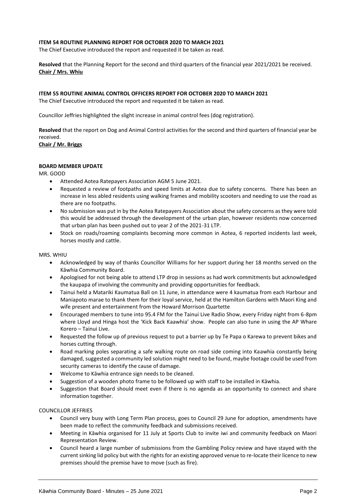#### **ITEM 54 ROUTINE PLANNING REPORT FOR OCTOBER 2020 TO MARCH 2021**

The Chief Executive introduced the report and requested it be taken as read.

**Resolved** that the Planning Report for the second and third quarters of the financial year 2021/2021 be received. **Chair / Mrs. Whiu**

#### **ITEM 55 ROUTINE ANIMAL CONTROL OFFICERS REPORT FOR OCTOBER 2020 TO MARCH 2021**

The Chief Executive introduced the report and requested it be taken as read.

Councillor Jeffries highlighted the slight increase in animal control fees (dog registration).

**Resolved** that the report on Dog and Animal Control activities for the second and third quarters of financial year be received.

**Chair / Mr. Briggs**

#### **BOARD MEMBER UPDATE**

MR. GOOD

- Attended Aotea Ratepayers Association AGM 5 June 2021.
- Requested a review of footpaths and speed limits at Aotea due to safety concerns. There has been an increase in less abled residents using walking frames and mobility scooters and needing to use the road as there are no footpaths.
- No submission was put in by the Aotea Ratepayers Association about the safety concerns as they were told this would be addressed through the development of the urban plan, however residents now concerned that urban plan has been pushed out to year 2 of the 2021-31 LTP.
- Stock on roads/roaming complaints becoming more common in Aotea, 6 reported incidents last week, horses mostly and cattle.

#### MRS. WHIU

- Acknowledged by way of thanks Councillor Williams for her support during her 18 months served on the Kāwhia Community Board.
- Apologised for not being able to attend LTP drop in sessions as had work commitments but acknowledged the kaupapa of involving the community and providing opportunities for feedback.
- Tainui held a Matariki Kaumatua Ball on 11 June, in attendance were 4 kaumatua from each Harbour and Maniapoto marae to thank them for their loyal service, held at the Hamilton Gardens with Maori King and wife present and entertainment from the Howard Morrison Quartette
- Encouraged members to tune into 95.4 FM for the Tainui Live Radio Show, every Friday night from 6-8pm where Lloyd and Hinga host the 'Kick Back Kaawhia' show. People can also tune in using the AP Whare Korero – Tainui Live.
- Requested the follow up of previous request to put a barrier up by Te Papa o Karewa to prevent bikes and horses cutting through.
- Road marking poles separating a safe walking route on road side coming into Kaawhia constantly being damaged, suggested a community led solution might need to be found, maybe footage could be used from security cameras to identify the cause of damage.
- Welcome to Kāwhia entrance sign needs to be cleaned.
- Suggestion of a wooden photo frame to be followed up with staff to be installed in Kāwhia.
- Suggestion that Board should meet even if there is no agenda as an opportunity to connect and share information together.

#### COUNCILLOR JEFFRIES

- Council very busy with Long Term Plan process, goes to Council 29 June for adoption, amendments have been made to reflect the community feedback and submissions received.
- Meeting in Kāwhia organised for 11 July at Sports Club to invite iwi and community feedback on Maori Representation Review.
- Council heard a large number of submissions from the Gambling Policy review and have stayed with the current sinking lid policy but with the rights for an existing approved venue to re-locate their licence to new premises should the premise have to move (such as fire).